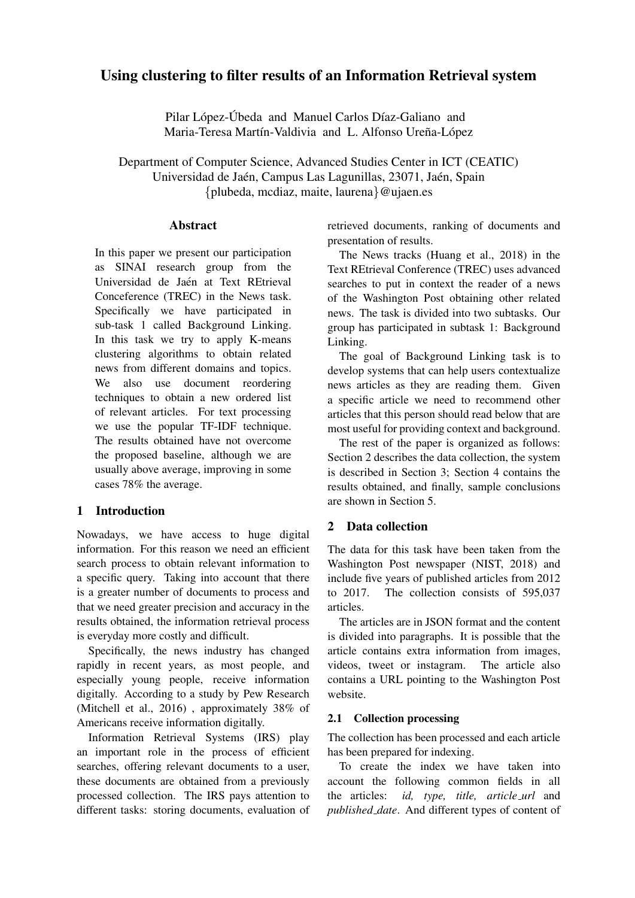# Using clustering to filter results of an Information Retrieval system

Pilar López-Úbeda and Manuel Carlos Díaz-Galiano and Maria-Teresa Martín-Valdivia and L. Alfonso Ureña-López

Department of Computer Science, Advanced Studies Center in ICT (CEATIC) Universidad de Jaén, Campus Las Lagunillas, 23071, Jaén, Spain {plubeda, mcdiaz, maite, laurena}@ujaen.es

#### **Abstract**

In this paper we present our participation as SINAI research group from the Universidad de Jaén at Text REtrieval Conceference (TREC) in the News task. Specifically we have participated in sub-task 1 called Background Linking. In this task we try to apply K-means clustering algorithms to obtain related news from different domains and topics. We also use document reordering techniques to obtain a new ordered list of relevant articles. For text processing we use the popular TF-IDF technique. The results obtained have not overcome the proposed baseline, although we are usually above average, improving in some cases 78% the average.

### 1 Introduction

Nowadays, we have access to huge digital information. For this reason we need an efficient search process to obtain relevant information to a specific query. Taking into account that there is a greater number of documents to process and that we need greater precision and accuracy in the results obtained, the information retrieval process is everyday more costly and difficult.

Specifically, the news industry has changed rapidly in recent years, as most people, and especially young people, receive information digitally. According to a study by Pew Research (Mitchell et al., 2016) , approximately 38% of Americans receive information digitally.

Information Retrieval Systems (IRS) play an important role in the process of efficient searches, offering relevant documents to a user, these documents are obtained from a previously processed collection. The IRS pays attention to different tasks: storing documents, evaluation of retrieved documents, ranking of documents and presentation of results.

The News tracks (Huang et al., 2018) in the Text REtrieval Conference (TREC) uses advanced searches to put in context the reader of a news of the Washington Post obtaining other related news. The task is divided into two subtasks. Our group has participated in subtask 1: Background Linking.

The goal of Background Linking task is to develop systems that can help users contextualize news articles as they are reading them. Given a specific article we need to recommend other articles that this person should read below that are most useful for providing context and background.

The rest of the paper is organized as follows: Section 2 describes the data collection, the system is described in Section 3; Section 4 contains the results obtained, and finally, sample conclusions are shown in Section 5.

### 2 Data collection

The data for this task have been taken from the Washington Post newspaper (NIST, 2018) and include five years of published articles from 2012 to 2017. The collection consists of 595,037 articles.

The articles are in JSON format and the content is divided into paragraphs. It is possible that the article contains extra information from images, videos, tweet or instagram. The article also contains a URL pointing to the Washington Post website.

### 2.1 Collection processing

The collection has been processed and each article has been prepared for indexing.

To create the index we have taken into account the following common fields in all the articles: *id, type, title, article url* and *published date*. And different types of content of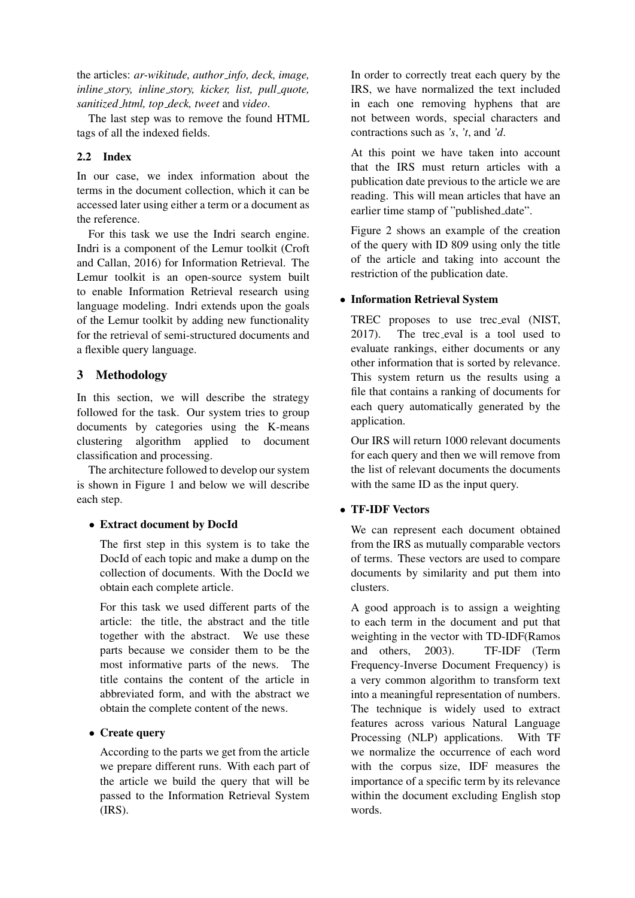the articles: *ar-wikitude, author info, deck, image, inline story, inline story, kicker, list, pull quote, sanitized html, top deck, tweet* and *video*.

The last step was to remove the found HTML tags of all the indexed fields.

## 2.2 Index

In our case, we index information about the terms in the document collection, which it can be accessed later using either a term or a document as the reference.

For this task we use the Indri search engine. Indri is a component of the Lemur toolkit (Croft and Callan, 2016) for Information Retrieval. The Lemur toolkit is an open-source system built to enable Information Retrieval research using language modeling. Indri extends upon the goals of the Lemur toolkit by adding new functionality for the retrieval of semi-structured documents and a flexible query language.

# 3 Methodology

In this section, we will describe the strategy followed for the task. Our system tries to group documents by categories using the K-means clustering algorithm applied to document classification and processing.

The architecture followed to develop our system is shown in Figure 1 and below we will describe each step.

# • Extract document by DocId

The first step in this system is to take the DocId of each topic and make a dump on the collection of documents. With the DocId we obtain each complete article.

For this task we used different parts of the article: the title, the abstract and the title together with the abstract. We use these parts because we consider them to be the most informative parts of the news. The title contains the content of the article in abbreviated form, and with the abstract we obtain the complete content of the news.

# • Create query

According to the parts we get from the article we prepare different runs. With each part of the article we build the query that will be passed to the Information Retrieval System (IRS).

In order to correctly treat each query by the IRS, we have normalized the text included in each one removing hyphens that are not between words, special characters and contractions such as *'s*, *'t*, and *'d*.

At this point we have taken into account that the IRS must return articles with a publication date previous to the article we are reading. This will mean articles that have an earlier time stamp of "published\_date".

Figure 2 shows an example of the creation of the query with ID 809 using only the title of the article and taking into account the restriction of the publication date.

## • Information Retrieval System

TREC proposes to use trec eval (NIST, 2017). The trec eval is a tool used to evaluate rankings, either documents or any other information that is sorted by relevance. This system return us the results using a file that contains a ranking of documents for each query automatically generated by the application.

Our IRS will return 1000 relevant documents for each query and then we will remove from the list of relevant documents the documents with the same ID as the input query.

# • TF-IDF Vectors

We can represent each document obtained from the IRS as mutually comparable vectors of terms. These vectors are used to compare documents by similarity and put them into clusters.

A good approach is to assign a weighting to each term in the document and put that weighting in the vector with TD-IDF(Ramos and others, 2003). TF-IDF (Term Frequency-Inverse Document Frequency) is a very common algorithm to transform text into a meaningful representation of numbers. The technique is widely used to extract features across various Natural Language Processing (NLP) applications. With TF we normalize the occurrence of each word with the corpus size, IDF measures the importance of a specific term by its relevance within the document excluding English stop words.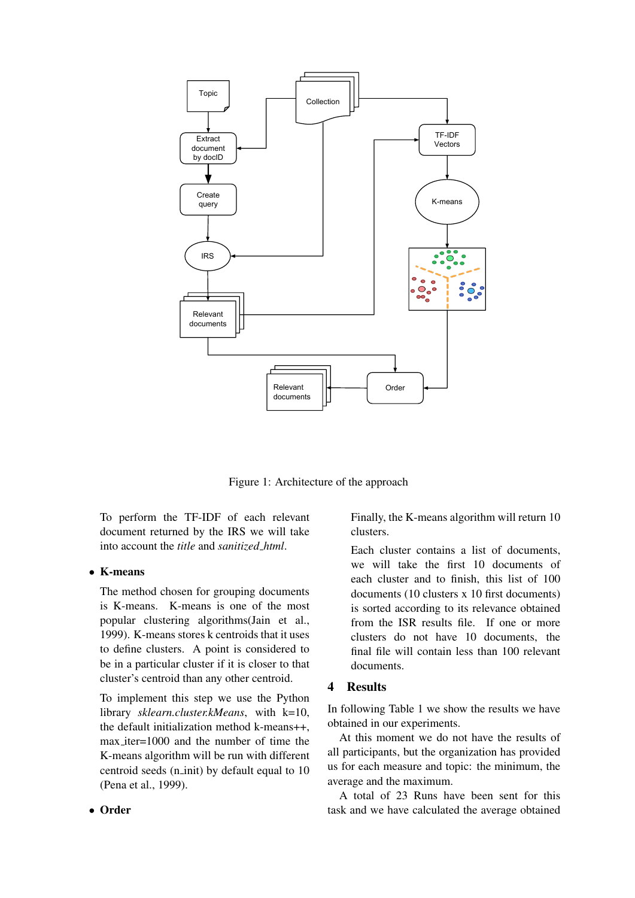

Figure 1: Architecture of the approach

To perform the TF-IDF of each relevant document returned by the IRS we will take into account the *title* and *sanitized html*.

#### • K-means

The method chosen for grouping documents is K-means. K-means is one of the most popular clustering algorithms(Jain et al., 1999). K-means stores k centroids that it uses to define clusters. A point is considered to be in a particular cluster if it is closer to that cluster's centroid than any other centroid.

To implement this step we use the Python library *sklearn.cluster.kMeans*, with k=10, the default initialization method k-means++, max iter=1000 and the number of time the K-means algorithm will be run with different centroid seeds (n init) by default equal to 10 (Pena et al., 1999).

Finally, the K-means algorithm will return 10 clusters.

Each cluster contains a list of documents, we will take the first 10 documents of each cluster and to finish, this list of 100 documents (10 clusters x 10 first documents) is sorted according to its relevance obtained from the ISR results file. If one or more clusters do not have 10 documents, the final file will contain less than 100 relevant documents.

### 4 Results

In following Table 1 we show the results we have obtained in our experiments.

At this moment we do not have the results of all participants, but the organization has provided us for each measure and topic: the minimum, the average and the maximum.

A total of 23 Runs have been sent for this task and we have calculated the average obtained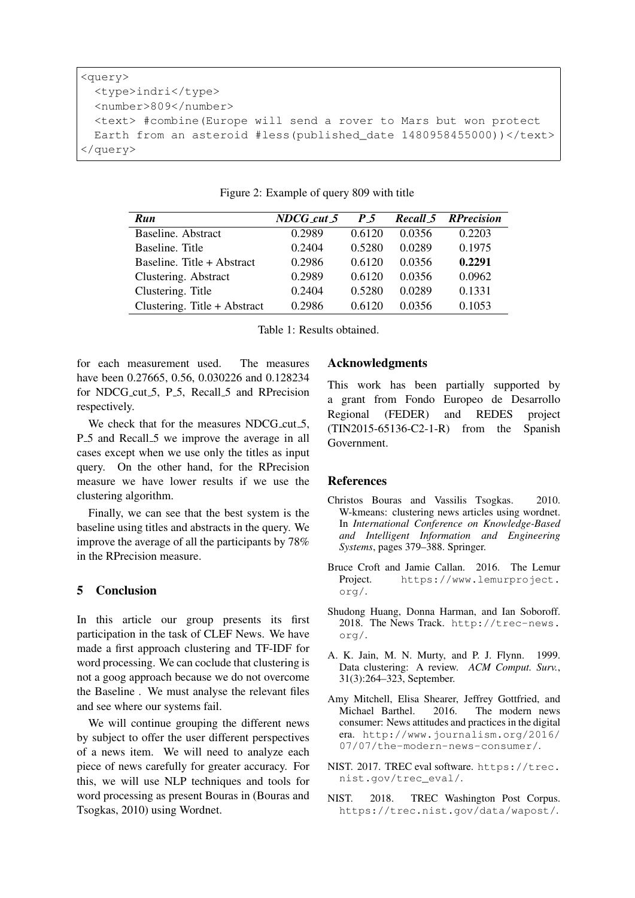```
<query>
 <type>indri</type>
 <number>809</number>
 <text> #combine(Europe will send a rover to Mars but won protect
 Earth from an asteroid #less(published_date 1480958455000))</text>
</query>
```

| Run                          | NDCG cut 5 | P 5    |        | <b>Recall 5 RPrecision</b> |
|------------------------------|------------|--------|--------|----------------------------|
| Baseline. Abstract           | 0.2989     | 0.6120 | 0.0356 | 0.2203                     |
| Baseline. Title              | 0.2404     | 0.5280 | 0.0289 | 0.1975                     |
| Baseline. Title + Abstract   | 0.2986     | 0.6120 | 0.0356 | 0.2291                     |
| Clustering. Abstract         | 0.2989     | 0.6120 | 0.0356 | 0.0962                     |
| Clustering. Title            | 0.2404     | 0.5280 | 0.0289 | 0.1331                     |
| Clustering. Title + Abstract | 0.2986     | 0.6120 | 0.0356 | 0.1053                     |

| Figure 2: Example of query 809 with title |  |  |
|-------------------------------------------|--|--|
|                                           |  |  |

Table 1: Results obtained.

for each measurement used. The measures have been 0.27665, 0.56, 0.030226 and 0.128234 for NDCG cut 5, P 5, Recall 5 and RPrecision respectively.

We check that for the measures NDCG\_cut\_5, P<sub>-5</sub> and Recall<sub>-5</sub> we improve the average in all cases except when we use only the titles as input query. On the other hand, for the RPrecision measure we have lower results if we use the clustering algorithm.

Finally, we can see that the best system is the baseline using titles and abstracts in the query. We improve the average of all the participants by 78% in the RPrecision measure.

### 5 Conclusion

In this article our group presents its first participation in the task of CLEF News. We have made a first approach clustering and TF-IDF for word processing. We can coclude that clustering is not a goog approach because we do not overcome the Baseline . We must analyse the relevant files and see where our systems fail.

We will continue grouping the different news by subject to offer the user different perspectives of a news item. We will need to analyze each piece of news carefully for greater accuracy. For this, we will use NLP techniques and tools for word processing as present Bouras in (Bouras and Tsogkas, 2010) using Wordnet.

#### Acknowledgments

This work has been partially supported by a grant from Fondo Europeo de Desarrollo Regional (FEDER) and REDES project (TIN2015-65136-C2-1-R) from the Spanish Government.

#### References

- Christos Bouras and Vassilis Tsogkas. 2010. W-kmeans: clustering news articles using wordnet. In *International Conference on Knowledge-Based and Intelligent Information and Engineering Systems*, pages 379–388. Springer.
- Bruce Croft and Jamie Callan. 2016. The Lemur Project. https://www.lemurproject. org/.
- Shudong Huang, Donna Harman, and Ian Soboroff. 2018. The News Track. http://trec-news. org/.
- A. K. Jain, M. N. Murty, and P. J. Flynn. 1999. Data clustering: A review. *ACM Comput. Surv.*, 31(3):264–323, September.
- Amy Mitchell, Elisa Shearer, Jeffrey Gottfried, and Michael Barthel. 2016. The modern news consumer: News attitudes and practices in the digital era. http://www.journalism.org/2016/ 07/07/the-modern-news-consumer/.
- NIST. 2017. TREC eval software. https://trec. nist.gov/trec\_eval/.
- NIST. 2018. TREC Washington Post Corpus. https://trec.nist.gov/data/wapost/.